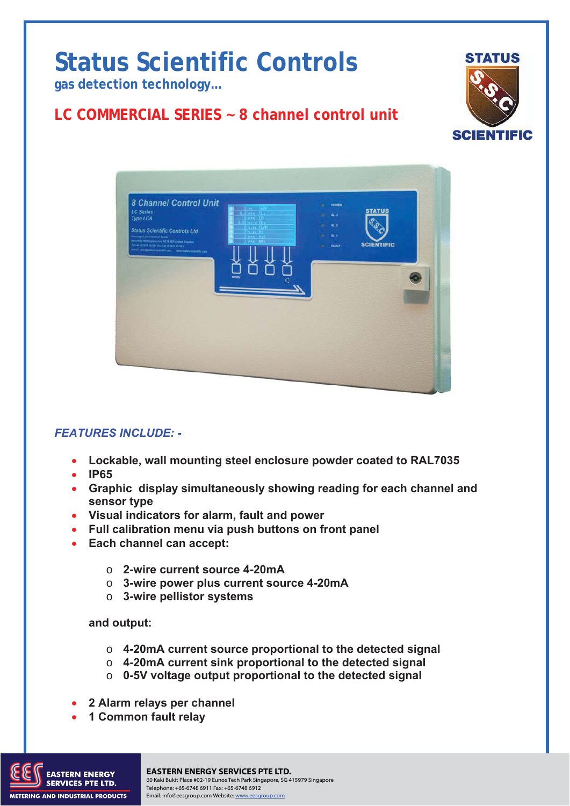# **Status Scientific Controls**

**gas detection technology…** 

## **LC COMMERCIAL SERIES ~ 8 channel control unit**





### *FEATURES INCLUDE: -*

- **Lockable, wall mounting steel enclosure powder coated to RAL7035**
- **IP65**
- **Graphic display simultaneously showing reading for each channel and sensor type**
- **Visual indicators for alarm, fault and power**
- **Full calibration menu via push buttons on front panel**
- **Each channel can accept:** 
	- o **2-wire current source 4-20mA**
	- o **3-wire power plus current source 4-20mA**
	- o **3-wire pellistor systems**

#### **and output:**

- o **4-20mA current source proportional to the detected signal**
- o **4-20mA current sink proportional to the detected signal**
- o **0-5V voltage output proportional to the detected signal**
- **2 Alarm relays per channel**
- **1 Common fault relay**



#### TO THE TO THE TOTAL TO BUKIT AND TO A RELATED TO A PAGE 1 A PAGE 1 ISSUE TO A PAGE 1 A PAGE 1 TO THE 1 TO THE TO THE 1 TO THE 1 TO THE 1 TO THE 1 TO THE 1 TO THE 1 TO THE 1 TO THE 1 TO THE 1 TO THE 1 TO THE 1 TO THE 1 TO T **EASTERN ENERGY SERVICES PTE LTD.** Telephone: +65-6748 6911 Fax: +65-6748 6912 Email: info@eesgroup.com Website: www.eesgroup.com